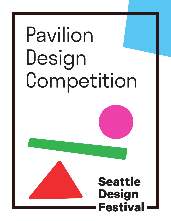# Pavilion Design Competition



## **Seattle Design Festival**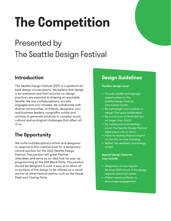# **The Competition**

## Presented by The Seattle Design Festival

### **Introduction**

The Seattle Design Festival (SDF) is a platform for bold design conversations. We believe that design is for everyone and that inclusive co-design practices are essential to shaping an equitable Seattle. We are multidisciplinary, socially engaged and civic minded. We collaborate with diverse communities, architects, designers, civic and business leaders, nonprofits, artists and activists to generate solutions to complex social, cultural and ecological challenges that affect all of us.

## **The Opportunity**

We invite multidisciplinary artists and designers to respond to this creative brief for a temporary central pavilion for the 2022 Seattle Design Festival. The pavilion will greet Festival attendees and serve as an idea hub for pop-up programming at the SDF Block Party. The pavilion should be designed in such a way as to allow all or portions of the design to be utilized as a visual anchor at other Festival events, such as the Sneak Peek and Closing Party.

### **Design Guidelines**

#### **Pavilion design must:**

- Provide shelter and signage opportunities for the Seattle Design Festival information booth.
- Be lightweight and modular in design (flat-pack preferable).
- Be a minimum of 15x15 feet but no larger than 20x20.
- Be waterproof and weatherproof. The Seattle Design Festival takes place rain or shine.
- Have no lasting physical impact on the site, be free standing.
- Reflect the aesthetic and energy of SDF

#### **Special design features may include:**

- Integration of one regular 20 amp/120V circuit, if the design requires electrical needs.
- Maker-space surfaces, to encourage engagement.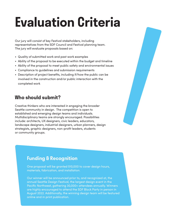## **Evaluation Criteria**

Our jury will consist of key Festival stakeholders, including representatives from the SDF Council and Festival planning team. The jury will evaluate proposals based on:

- Quality of submitted work and past work examples
- Ability of the proposal to be executed within the budget and timeline
- Ability of the proposal to meet public safety and environmental issues
- Compliance to guidelines and submission requirements
- Description of project benefits, including if/how the public can be involved in the construction and/or public interaction with the completed work

### **Who should submit?**

Creative thinkers who are interested in engaging the broader Seattle community in design. The competition is open to established and emerging design teams and individuals. Multidisciplinary teams are strongly encouraged. Possibilities include: architects, UX designers, civic leaders, educators, landscape designers, industrial designers, urban planners, design strategists, graphic designers, non-profit leaders, students or community groups.



#### **Funding & Recognition**

One proposal will be granted \$10,000 to cover design hours, materials, fabrication, and installation.

Our winner will be announced prior to, and recognized at, the annual Seattle Design Festival, the largest design event in the Pacific Northwest, gathering 30,000+ attendees annually. Winners are highly encouraged to attend the SDF Block Party in person in August 2022. Additionally, the winning design team will be featured online and in print publication.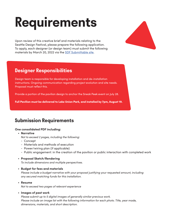# **Requirements**

Upon review of this creative brief and materials relating to the Seattle Design Festival, please prepare the following application. To apply, each designer (or design team) must submit the following materials by March 20, 2022 via the [SDF Submittable site](https://designinpublic.submittable.com/submit).

#### **Designer Responsibilities**

Design team is responsible for developing installation and de-installation instructions. Ongoing communication regarding project evolution and site needs. Proposal must reflect this.

Provide a portion of the pavilion design to anchor the Sneak Peek event on July 28.

Full Pavilion must be delivered to Lake Union Park, and installed by 7pm, August 19.

### **Submission Requirements**

#### **One consolidated PDF including:**

- **Narrative**
	- *Not to exceed 2 pages, including the following:*
	- Concept
	- Materials and methods of execution
	- Power/wiring plan (if applicable)
	- Public engagement: in the creation of the pavilion or public interaction with completed work

#### • **Proposal Sketch/Rendering**

*To include dimensions and multiple perspectives.*

#### • **Budget for fees and materials**

 *Please include a budget narrative with your proposal justifying your requested amount, including any secured matching funds for this installation.*

• **Resume**

*Not to exceed two pages of relevant experience*

#### • **Images of past work**

 *Please submit up to 5 digital images of generally similar previous work. Please include an image list with the following information for each photo. Title, year made, dimensions, materials, and short description.*